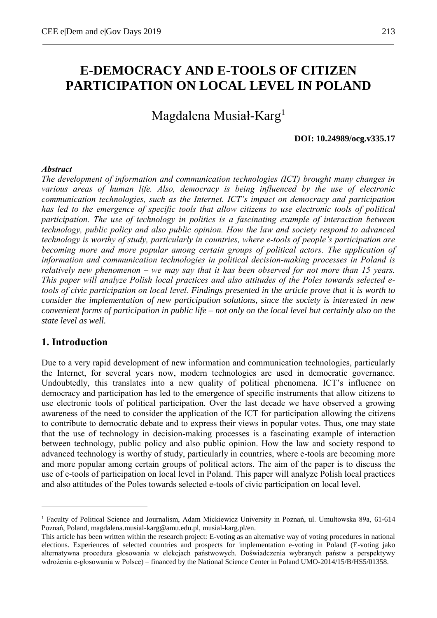# **E-DEMOCRACY AND E-TOOLS OF CITIZEN PARTICIPATION ON LOCAL LEVEL IN POLAND**

# Magdalena Musiał-Karg<sup>1</sup>

#### **DOI: 10.24989/ocg.v335.17**

### *Abstract*

*The development of information and communication technologies (ICT) brought many changes in various areas of human life. Also, democracy is being influenced by the use of electronic communication technologies, such as the Internet. ICT's impact on democracy and participation has led to the emergence of specific tools that allow citizens to use electronic tools of political participation. The use of technology in politics is a fascinating example of interaction between technology, public policy and also public opinion. How the law and society respond to advanced technology is worthy of study, particularly in countries, where e-tools of people's participation are*  becoming more and more popular among certain groups of political actors. The application of *information and communication technologies in political decision-making processes in Poland is relatively new phenomenon – we may say that it has been observed for not more than 15 years. This paper will analyze Polish local practices and also attitudes of the Poles towards selected etools of civic participation on local level. Findings presented in the article prove that it is worth to consider the implementation of new participation solutions, since the society is interested in new convenient forms of participation in public life – not only on the local level but certainly also on the state level as well.*

### **1. Introduction**

<u>.</u>

Due to a very rapid development of new information and communication technologies, particularly the Internet, for several years now, modern technologies are used in democratic governance. Undoubtedly, this translates into a new quality of political phenomena. ICT's influence on democracy and participation has led to the emergence of specific instruments that allow citizens to use electronic tools of political participation. Over the last decade we have observed a growing awareness of the need to consider the application of the ICT for participation allowing the citizens to contribute to democratic debate and to express their views in popular votes. Thus, one may state that the use of technology in decision-making processes is a fascinating example of interaction between technology, public policy and also public opinion. How the law and society respond to advanced technology is worthy of study, particularly in countries, where e-tools are becoming more and more popular among certain groups of political actors. The aim of the paper is to discuss the use of e-tools of participation on local level in Poland. This paper will analyze Polish local practices and also attitudes of the Poles towards selected e-tools of civic participation on local level.

<sup>1</sup> Faculty of Political Science and Journalism, Adam Mickiewicz University in Poznań, ul. Umultowska 89a, 61-614 Poznań, Poland, magdalena.musial-karg@amu.edu.pl, musial-karg.pl/en.

This article has been written within the research project: E-voting as an alternative way of voting procedures in national elections. Experiences of selected countries and prospects for implementation e-voting in Poland (E-voting jako alternatywna procedura głosowania w elekcjach państwowych. Doświadczenia wybranych państw a perspektywy wdrożenia e-głosowania w Polsce) – financed by the National Science Center in Poland UMO-2014/15/B/HS5/01358.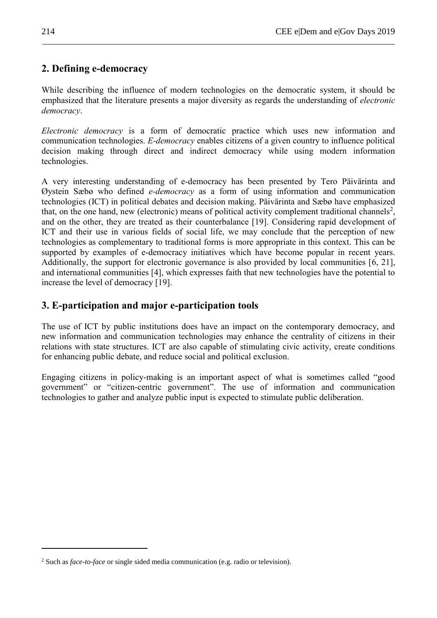# **2. Defining e-democracy**

While describing the influence of modern technologies on the democratic system, it should be emphasized that the literature presents a major diversity as regards the understanding of *electronic democracy*.

*Electronic democracy* is a form of democratic practice which uses new information and communication technologies. *E-democracy* enables citizens of a given country to influence political decision making through direct and indirect democracy while using modern information technologies.

A very interesting understanding of e-democracy has been presented by Tero Päivärinta and Øystein Sæbø who defined *e-democracy* as a form of using information and communication technologies (ICT) in political debates and decision making. Päivärinta and Sæbø have emphasized that, on the one hand, new (electronic) means of political activity complement traditional channels<sup>2</sup>, and on the other, they are treated as their counterbalance [19]. Considering rapid development of ICT and their use in various fields of social life, we may conclude that the perception of new technologies as complementary to traditional forms is more appropriate in this context. This can be supported by examples of e-democracy initiatives which have become popular in recent years. Additionally, the support for electronic governance is also provided by local communities [6, 21], and international communities [4], which expresses faith that new technologies have the potential to increase the level of democracy [19].

# **3. E-participation and major e-participation tools**

The use of ICT by public institutions does have an impact on the contemporary democracy, and new information and communication technologies may enhance the centrality of citizens in their relations with state structures. ICT are also capable of stimulating civic activity, create conditions for enhancing public debate, and reduce social and political exclusion.

Engaging citizens in policy-making is an important aspect of what is sometimes called "good government" or "citizen-centric government". The use of information and communication technologies to gather and analyze public input is expected to stimulate public deliberation.

1

<sup>2</sup> Such as *face-to-face* or single sided media communication (e.g. radio or television).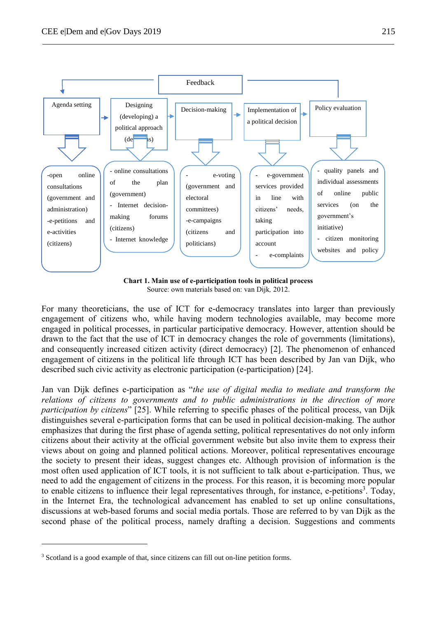

**Chart 1. Main use of e-participation tools in political process** Source: own materials based on: van Dijk, 2012.

For many theoreticians, the use of ICT for e-democracy translates into larger than previously engagement of citizens who, while having modern technologies available, may become more engaged in political processes, in particular participative democracy. However, attention should be drawn to the fact that the use of ICT in democracy changes the role of governments (limitations), and consequently increased citizen activity (direct democracy) [2]. The phenomenon of enhanced engagement of citizens in the political life through ICT has been described by Jan van Dijk, who described such civic activity as electronic participation (e-participation) [24].

Jan van Dijk defines e-participation as "*the use of digital media to mediate and transform the relations of citizens to governments and to public administrations in the direction of more participation by citizens*" [25]. While referring to specific phases of the political process, van Dijk distinguishes several e-participation forms that can be used in political decision-making. The author emphasizes that during the first phase of agenda setting, political representatives do not only inform citizens about their activity at the official government website but also invite them to express their views about on going and planned political actions. Moreover, political representatives encourage the society to present their ideas, suggest changes etc. Although provision of information is the most often used application of ICT tools, it is not sufficient to talk about e-participation. Thus, we need to add the engagement of citizens in the process. For this reason, it is becoming more popular to enable citizens to influence their legal representatives through, for instance, e-petitions<sup>3</sup>. Today, in the Internet Era, the technological advancement has enabled to set up online consultations, discussions at web-based forums and social media portals. Those are referred to by van Dijk as the second phase of the political process, namely drafting a decision. Suggestions and comments

1

<sup>&</sup>lt;sup>3</sup> Scotland is a good example of that, since citizens can fill out on-line petition forms.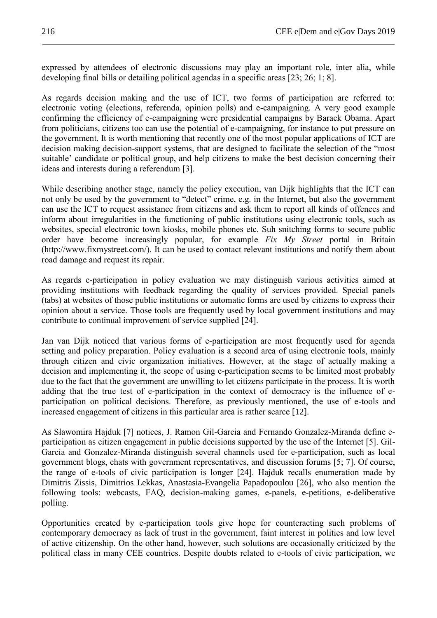expressed by attendees of electronic discussions may play an important role, inter alia, while developing final bills or detailing political agendas in a specific areas [23; 26; 1; 8].

As regards decision making and the use of ICT, two forms of participation are referred to: electronic voting (elections, referenda, opinion polls) and e-campaigning. A very good example confirming the efficiency of e-campaigning were presidential campaigns by Barack Obama. Apart from politicians, citizens too can use the potential of e-campaigning, for instance to put pressure on the government. It is worth mentioning that recently one of the most popular applications of ICT are decision making decision-support systems, that are designed to facilitate the selection of the "most suitable' candidate or political group, and help citizens to make the best decision concerning their ideas and interests during a referendum [3].

While describing another stage, namely the policy execution, van Dijk highlights that the ICT can not only be used by the government to "detect" crime, e.g. in the Internet, but also the government can use the ICT to request assistance from citizens and ask them to report all kinds of offences and inform about irregularities in the functioning of public institutions using electronic tools, such as websites, special electronic town kiosks, mobile phones etc. Suh snitching forms to secure public order have become increasingly popular, for example *Fix My Street* portal in Britain (http://www.fixmystreet.com/). It can be used to contact relevant institutions and notify them about road damage and request its repair.

As regards e-participation in policy evaluation we may distinguish various activities aimed at providing institutions with feedback regarding the quality of services provided. Special panels (tabs) at websites of those public institutions or automatic forms are used by citizens to express their opinion about a service. Those tools are frequently used by local government institutions and may contribute to continual improvement of service supplied [24].

Jan van Dijk noticed that various forms of e-participation are most frequently used for agenda setting and policy preparation. Policy evaluation is a second area of using electronic tools, mainly through citizen and civic organization initiatives. However, at the stage of actually making a decision and implementing it, the scope of using e-participation seems to be limited most probably due to the fact that the government are unwilling to let citizens participate in the process. It is worth adding that the true test of e-participation in the context of democracy is the influence of eparticipation on political decisions. Therefore, as previously mentioned, the use of e-tools and increased engagement of citizens in this particular area is rather scarce [12].

As Sławomira Hajduk [7] notices, J. Ramon Gil-Garcia and Fernando Gonzalez-Miranda define eparticipation as citizen engagement in public decisions supported by the use of the Internet [5]. Gil-Garcia and Gonzalez-Miranda distinguish several channels used for e-participation, such as local government blogs, chats with government representatives, and discussion forums [5; 7]. Of course, the range of e-tools of civic participation is longer [24]. Hajduk recalls enumeration made by Dimitris Zissis, Dimitrios Lekkas, Anastasia-Evangelia Papadopoulou [26], who also mention the following tools: webcasts, FAQ, decision-making games, e-panels, e-petitions, e-deliberative polling.

Opportunities created by e-participation tools give hope for counteracting such problems of contemporary democracy as lack of trust in the government, faint interest in politics and low level of active citizenship. On the other hand, however, such solutions are occasionally criticized by the political class in many CEE countries. Despite doubts related to e-tools of civic participation, we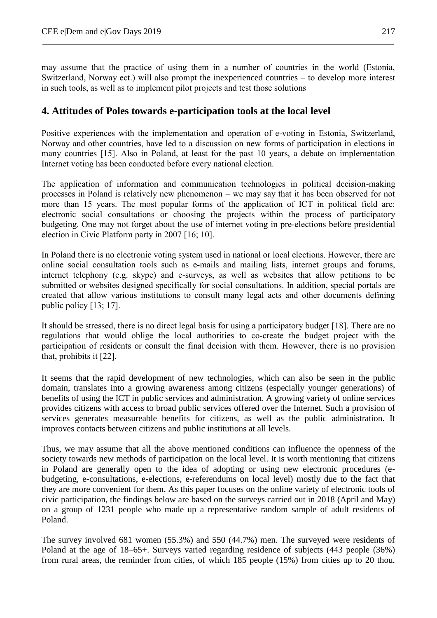may assume that the practice of using them in a number of countries in the world (Estonia, Switzerland, Norway ect.) will also prompt the inexperienced countries – to develop more interest in such tools, as well as to implement pilot projects and test those solutions

## **4. Attitudes of Poles towards e-participation tools at the local level**

Positive experiences with the implementation and operation of e-voting in Estonia, Switzerland, Norway and other countries, have led to a discussion on new forms of participation in elections in many countries [15]. Also in Poland, at least for the past 10 years, a debate on implementation Internet voting has been conducted before every national election.

The application of information and communication technologies in political decision-making processes in Poland is relatively new phenomenon – we may say that it has been observed for not more than 15 years. The most popular forms of the application of ICT in political field are: electronic social consultations or choosing the projects within the process of participatory budgeting. One may not forget about the use of internet voting in pre-elections before presidential election in Civic Platform party in 2007 [16; 10].

In Poland there is no electronic voting system used in national or local elections. However, there are online social consultation tools such as e-mails and mailing lists, internet groups and forums, internet telephony (e.g. skype) and e-surveys, as well as websites that allow petitions to be submitted or websites designed specifically for social consultations. In addition, special portals are created that allow various institutions to consult many legal acts and other documents defining public policy [13; 17].

It should be stressed, there is no direct legal basis for using a participatory budget [18]. There are no regulations that would oblige the local authorities to co-create the budget project with the participation of residents or consult the final decision with them. However, there is no provision that, prohibits it [22].

It seems that the rapid development of new technologies, which can also be seen in the public domain, translates into a growing awareness among citizens (especially younger generations) of benefits of using the ICT in public services and administration. A growing variety of online services provides citizens with access to broad public services offered over the Internet. Such a provision of services generates measureable benefits for citizens, as well as the public administration. It improves contacts between citizens and public institutions at all levels.

Thus, we may assume that all the above mentioned conditions can influence the openness of the society towards new methods of participation on the local level. It is worth mentioning that citizens in Poland are generally open to the idea of adopting or using new electronic procedures (ebudgeting, e-consultations, e-elections, e-referendums on local level) mostly due to the fact that they are more convenient for them. As this paper focuses on the online variety of electronic tools of civic participation, the findings below are based on the surveys carried out in 2018 (April and May) on a group of 1231 people who made up a representative random sample of adult residents of Poland.

The survey involved 681 women (55.3%) and 550 (44.7%) men. The surveyed were residents of Poland at the age of 18–65+. Surveys varied regarding residence of subjects (443 people (36%) from rural areas, the reminder from cities, of which 185 people (15%) from cities up to 20 thou.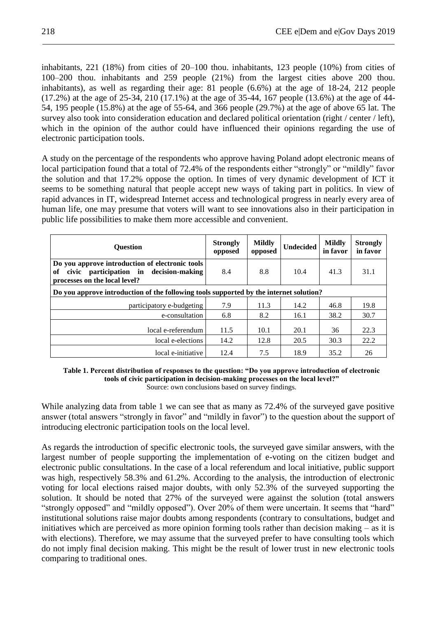inhabitants, 221 (18%) from cities of 20–100 thou. inhabitants, 123 people (10%) from cities of 100–200 thou. inhabitants and 259 people (21%) from the largest cities above 200 thou. inhabitants), as well as regarding their age: 81 people (6.6%) at the age of 18-24, 212 people (17.2%) at the age of 25-34, 210 (17.1%) at the age of 35-44, 167 people (13.6%) at the age of 44- 54, 195 people (15.8%) at the age of 55-64, and 366 people (29.7%) at the age of above 65 lat. The survey also took into consideration education and declared political orientation (right / center / left), which in the opinion of the author could have influenced their opinions regarding the use of electronic participation tools.

A study on the percentage of the respondents who approve having Poland adopt electronic means of local participation found that a total of 72.4% of the respondents either "strongly" or "mildly" favor the solution and that 17.2% oppose the option. In times of very dynamic development of ICT it seems to be something natural that people accept new ways of taking part in politics. In view of rapid advances in IT, widespread Internet access and technological progress in nearly every area of human life, one may presume that voters will want to see innovations also in their participation in public life possibilities to make them more accessible and convenient.

| <b>Ouestion</b>                                                                                                                        | <b>Strongly</b><br>opposed | <b>Mildly</b><br>opposed | <b>Undecided</b> | <b>Mildly</b><br>in favor | <b>Strongly</b><br>in favor |  |  |  |
|----------------------------------------------------------------------------------------------------------------------------------------|----------------------------|--------------------------|------------------|---------------------------|-----------------------------|--|--|--|
| Do you approve introduction of electronic tools<br>participation in<br>decision-making<br>of<br>civic<br>processes on the local level? | 8.4                        | 8.8                      | 10.4             | 41.3                      | 31.1                        |  |  |  |
| Do you approve introduction of the following tools supported by the internet solution?                                                 |                            |                          |                  |                           |                             |  |  |  |
| participatory e-budgeting                                                                                                              | 7.9                        | 11.3                     | 14.2             | 46.8                      | 19.8                        |  |  |  |
| e-consultation                                                                                                                         | 6.8                        | 8.2                      | 16.1             | 38.2                      | 30.7                        |  |  |  |
| local e-referendum                                                                                                                     | 11.5                       | 10.1                     | 20.1             | 36                        | 22.3                        |  |  |  |
| local e-elections                                                                                                                      | 14.2                       | 12.8                     | 20.5             | 30.3                      | 22.2                        |  |  |  |
| local e-initiative                                                                                                                     | 12.4                       | 7.5                      | 18.9             | 35.2                      | 26                          |  |  |  |

#### **Table 1. Percent distribution of responses to the question: "Do you approve introduction of electronic tools of civic participation in decision-making processes on the local level?"** Source: own conclusions based on survey findings.

While analyzing data from table 1 we can see that as many as 72.4% of the surveyed gave positive answer (total answers "strongly in favor" and "mildly in favor") to the question about the support of introducing electronic participation tools on the local level.

As regards the introduction of specific electronic tools, the surveyed gave similar answers, with the largest number of people supporting the implementation of e-voting on the citizen budget and electronic public consultations. In the case of a local referendum and local initiative, public support was high, respectively 58.3% and 61.2%. According to the analysis, the introduction of electronic voting for local elections raised major doubts, with only 52.3% of the surveyed supporting the solution. It should be noted that 27% of the surveyed were against the solution (total answers "strongly opposed" and "mildly opposed"). Over 20% of them were uncertain. It seems that "hard" institutional solutions raise major doubts among respondents (contrary to consultations, budget and initiatives which are perceived as more opinion forming tools rather than decision making – as it is with elections). Therefore, we may assume that the surveyed prefer to have consulting tools which do not imply final decision making. This might be the result of lower trust in new electronic tools comparing to traditional ones.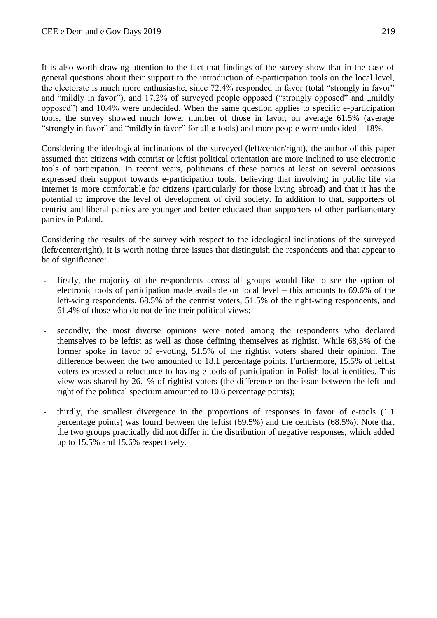It is also worth drawing attention to the fact that findings of the survey show that in the case of general questions about their support to the introduction of e-participation tools on the local level, the electorate is much more enthusiastic, since 72.4% responded in favor (total "strongly in favor" and "mildly in favor"), and 17.2% of surveyed people opposed ("strongly opposed" and "mildly" opposed") and 10.4% were undecided. When the same question applies to specific e-participation tools, the survey showed much lower number of those in favor, on average 61.5% (average "strongly in favor" and "mildly in favor" for all e-tools) and more people were undecided – 18%.

Considering the ideological inclinations of the surveyed (left/center/right), the author of this paper assumed that citizens with centrist or leftist political orientation are more inclined to use electronic tools of participation. In recent years, politicians of these parties at least on several occasions expressed their support towards e-participation tools, believing that involving in public life via Internet is more comfortable for citizens (particularly for those living abroad) and that it has the potential to improve the level of development of civil society. In addition to that, supporters of centrist and liberal parties are younger and better educated than supporters of other parliamentary parties in Poland.

Considering the results of the survey with respect to the ideological inclinations of the surveyed (left/center/right), it is worth noting three issues that distinguish the respondents and that appear to be of significance:

- firstly, the majority of the respondents across all groups would like to see the option of electronic tools of participation made available on local level – this amounts to 69.6% of the left-wing respondents, 68.5% of the centrist voters, 51.5% of the right-wing respondents, and 61.4% of those who do not define their political views;
- secondly, the most diverse opinions were noted among the respondents who declared themselves to be leftist as well as those defining themselves as rightist. While 68,5% of the former spoke in favor of e-voting, 51.5% of the rightist voters shared their opinion. The difference between the two amounted to 18.1 percentage points. Furthermore, 15.5% of leftist voters expressed a reluctance to having e-tools of participation in Polish local identities. This view was shared by 26.1% of rightist voters (the difference on the issue between the left and right of the political spectrum amounted to 10.6 percentage points);
- thirdly, the smallest divergence in the proportions of responses in favor of e-tools (1.1 percentage points) was found between the leftist (69.5%) and the centrists (68.5%). Note that the two groups practically did not differ in the distribution of negative responses, which added up to 15.5% and 15.6% respectively.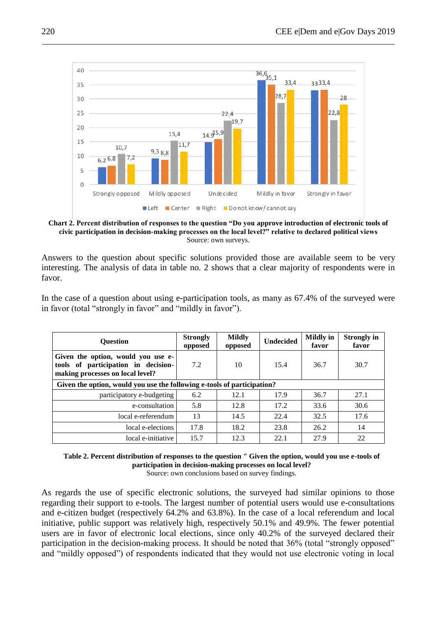

**Chart 2. Percent distribution of responses to the question "Do you approve introduction of electronic tools of civic participation in decision-making processes on the local level?" relative to declared political views** Source: own surveys.

Answers to the question about specific solutions provided those are available seem to be very interesting. The analysis of data in table no. 2 shows that a clear majority of respondents were in favor.

In the case of a question about using e-participation tools, as many as 67.4% of the surveyed were in favor (total "strongly in favor" and "mildly in favor").

| <b>Ouestion</b>                                                                                               | <b>Strongly</b><br>opposed | <b>Mildly</b><br>opposed | <b>Undecided</b> | <b>Mildly</b> in<br>favor | <b>Strongly in</b><br>favor |  |  |  |  |
|---------------------------------------------------------------------------------------------------------------|----------------------------|--------------------------|------------------|---------------------------|-----------------------------|--|--|--|--|
| Given the option, would you use e-<br>tools of participation in decision-<br>making processes on local level? | 7.2                        | 10                       | 15.4             | 36.7                      | 30.7                        |  |  |  |  |
| Given the option, would you use the following e-tools of participation?                                       |                            |                          |                  |                           |                             |  |  |  |  |
| participatory e-budgeting                                                                                     | 6.2                        | 12.1                     | 17.9             | 36.7                      | 27.1                        |  |  |  |  |
| e-consultation                                                                                                | 5.8                        | 12.8                     | 17.2             | 33.6                      | 30.6                        |  |  |  |  |
| local e-referendum                                                                                            | 13                         | 14.5                     | 22.4             | 32.5                      | 17.6                        |  |  |  |  |
| local e-elections                                                                                             | 17.8                       | 18.2                     | 23.8             | 26.2                      | 14                          |  |  |  |  |
| local e-initiative                                                                                            | 15.7                       | 12.3                     | 22.1             | 27.9                      | 22                          |  |  |  |  |

**Table 2. Percent distribution of responses to the question " Given the option, would you use e-tools of participation in decision-making processes on local level?** Source: own conclusions based on survey findings.

As regards the use of specific electronic solutions, the surveyed had similar opinions to those regarding their support to e-tools. The largest number of potential users would use e-consultations and e-citizen budget (respectively 64.2% and 63.8%). In the case of a local referendum and local initiative, public support was relatively high, respectively 50.1% and 49.9%. The fewer potential users are in favor of electronic local elections, since only 40.2% of the surveyed declared their participation in the decision-making process. It should be noted that 36% (total "strongly opposed" and "mildly opposed") of respondents indicated that they would not use electronic voting in local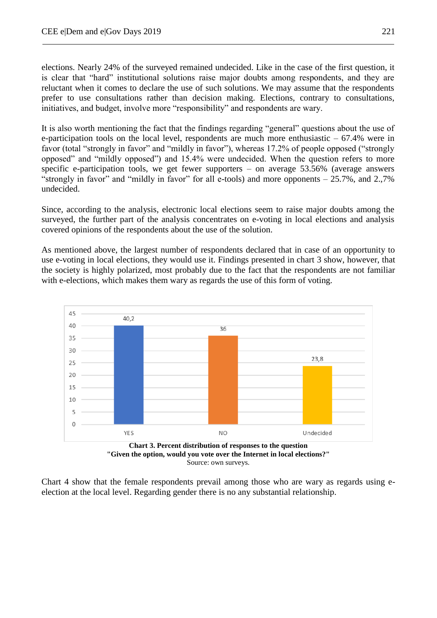elections. Nearly 24% of the surveyed remained undecided. Like in the case of the first question, it is clear that "hard" institutional solutions raise major doubts among respondents, and they are reluctant when it comes to declare the use of such solutions. We may assume that the respondents prefer to use consultations rather than decision making. Elections, contrary to consultations, initiatives, and budget, involve more "responsibility" and respondents are wary.

It is also worth mentioning the fact that the findings regarding "general" questions about the use of e-participation tools on the local level, respondents are much more enthusiastic – 67.4% were in favor (total "strongly in favor" and "mildly in favor"), whereas 17.2% of people opposed ("strongly opposed" and "mildly opposed") and 15.4% were undecided. When the question refers to more specific e-participation tools, we get fewer supporters – on average 53.56% (average answers "strongly in favor" and "mildly in favor" for all e-tools) and more opponents – 25.7%, and 2.,7% undecided.

Since, according to the analysis, electronic local elections seem to raise major doubts among the surveyed, the further part of the analysis concentrates on e-voting in local elections and analysis covered opinions of the respondents about the use of the solution.

As mentioned above, the largest number of respondents declared that in case of an opportunity to use e-voting in local elections, they would use it. Findings presented in chart 3 show, however, that the society is highly polarized, most probably due to the fact that the respondents are not familiar with e-elections, which makes them wary as regards the use of this form of voting.



Chart 4 show that the female respondents prevail among those who are wary as regards using eelection at the local level. Regarding gender there is no any substantial relationship.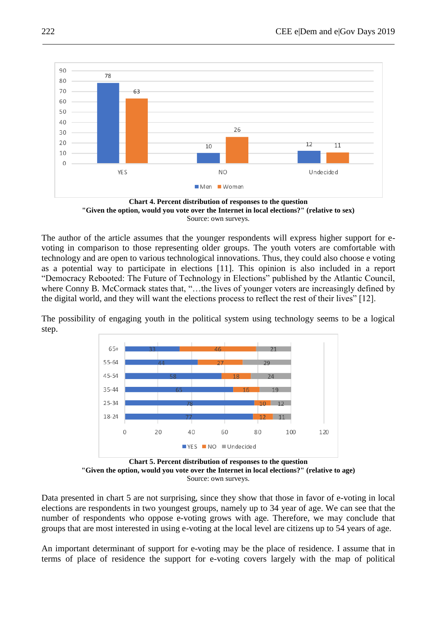



The author of the article assumes that the younger respondents will express higher support for evoting in comparison to those representing older groups. The youth voters are comfortable with technology and are open to various technological innovations. Thus, they could also choose e voting as a potential way to participate in elections [11]. This opinion is also included in a report "Democracy Rebooted: The Future of Technology in Elections" published by the Atlantic Council, where Conny B. McCormack states that, "...the lives of younger voters are increasingly defined by the digital world, and they will want the elections process to reflect the rest of their lives" [12].

The possibility of engaging youth in the political system using technology seems to be a logical step.



**Chart 5. Percent distribution of responses to the question "Given the option, would you vote over the Internet in local elections?" (relative to age)** Source: own surveys.

Data presented in chart 5 are not surprising, since they show that those in favor of e-voting in local elections are respondents in two youngest groups, namely up to 34 year of age. We can see that the number of respondents who oppose e-voting grows with age. Therefore, we may conclude that groups that are most interested in using e-voting at the local level are citizens up to 54 years of age.

An important determinant of support for e-voting may be the place of residence. I assume that in terms of place of residence the support for e-voting covers largely with the map of political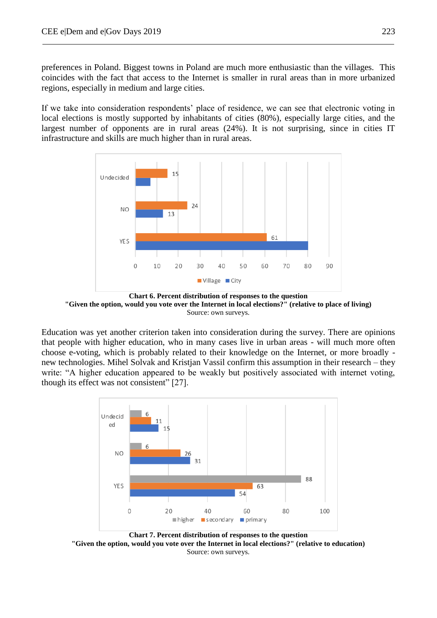preferences in Poland. Biggest towns in Poland are much more enthusiastic than the villages. This coincides with the fact that access to the Internet is smaller in rural areas than in more urbanized regions, especially in medium and large cities.

If we take into consideration respondents' place of residence, we can see that electronic voting in local elections is mostly supported by inhabitants of cities (80%), especially large cities, and the largest number of opponents are in rural areas (24%). It is not surprising, since in cities IT infrastructure and skills are much higher than in rural areas.



**Chart 6. Percent distribution of responses to the question "Given the option, would you vote over the Internet in local elections?" (relative to place of living)** Source: own surveys.

Education was yet another criterion taken into consideration during the survey. There are opinions that people with higher education, who in many cases live in urban areas - will much more often choose e-voting, which is probably related to their knowledge on the Internet, or more broadly new technologies. Mihel Solvak and Kristjan Vassil confirm this assumption in their research – they write: "A higher education appeared to be weakly but positively associated with internet voting, though its effect was not consistent" [27].



**Chart 7. Percent distribution of responses to the question "Given the option, would you vote over the Internet in local elections?" (relative to education)** Source: own surveys.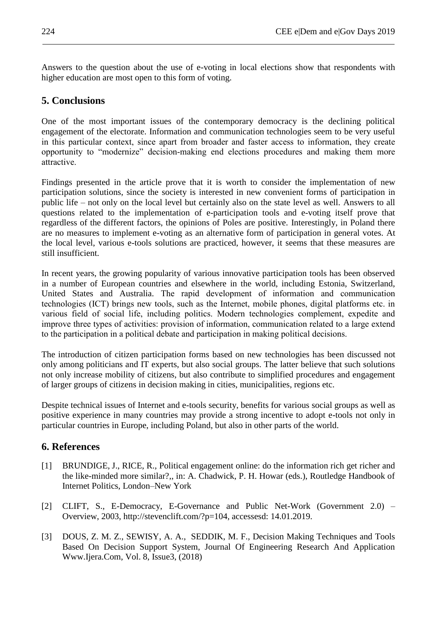Answers to the question about the use of e-voting in local elections show that respondents with higher education are most open to this form of voting.

### **5. Conclusions**

One of the most important issues of the contemporary democracy is the declining political engagement of the electorate. Information and communication technologies seem to be very useful in this particular context, since apart from broader and faster access to information, they create opportunity to "modernize" decision-making end elections procedures and making them more attractive.

Findings presented in the article prove that it is worth to consider the implementation of new participation solutions, since the society is interested in new convenient forms of participation in public life – not only on the local level but certainly also on the state level as well. Answers to all questions related to the implementation of e-participation tools and e-voting itself prove that regardless of the different factors, the opinions of Poles are positive. Interestingly, in Poland there are no measures to implement e-voting as an alternative form of participation in general votes. At the local level, various e-tools solutions are practiced, however, it seems that these measures are still insufficient.

In recent years, the growing popularity of various innovative participation tools has been observed in a number of European countries and elsewhere in the world, including Estonia, Switzerland, United States and Australia. The rapid development of information and communication technologies (ICT) brings new tools, such as the Internet, mobile phones, digital platforms etc. in various field of social life, including politics. Modern technologies complement, expedite and improve three types of activities: provision of information, communication related to a large extend to the participation in a political debate and participation in making political decisions.

The introduction of citizen participation forms based on new technologies has been discussed not only among politicians and IT experts, but also social groups. The latter believe that such solutions not only increase mobility of citizens, but also contribute to simplified procedures and engagement of larger groups of citizens in decision making in cities, municipalities, regions etc.

Despite technical issues of Internet and e-tools security, benefits for various social groups as well as positive experience in many countries may provide a strong incentive to adopt e-tools not only in particular countries in Europe, including Poland, but also in other parts of the world.

## **6. References**

- [1] BRUNDIGE, J., RICE, R., Political engagement online: do the information rich get richer and the like-minded more similar?,, in: A. Chadwick, P. H. Howar (eds.), Routledge Handbook of Internet Politics, London–New York
- [2] CLIFT, S., E-Democracy, E-Governance and Public Net-Work (Government 2.0) Overview, 2003, http://stevenclift.com/?p=104, accessesd: 14.01.2019.
- [3] DOUS, Z. M. Z., SEWISY, A. A., SEDDIK, M. F., Decision Making Techniques and Tools Based On Decision Support System, Journal Of Engineering Research And Application Www.Ijera.Com, Vol. 8, Issue3, (2018)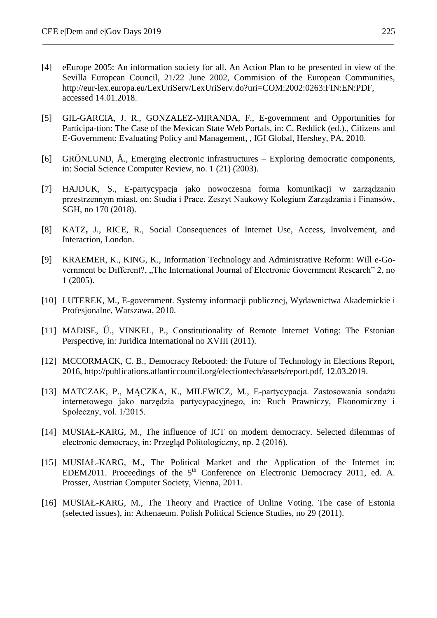- [4] eEurope 2005: An information society for all. An Action Plan to be presented in view of the Sevilla European Council, 21/22 June 2002, Commision of the European Communities, http://eur-lex.europa.eu/LexUriServ/LexUriServ.do?uri=COM:2002:0263:FIN:EN:PDF, accessed 14.01.2018.
- [5] GIL-GARCIA, J. R., GONZALEZ-MIRANDA, F., E-government and Opportunities for Participa-tion: The Case of the Mexican State Web Portals, in: C. Reddick (ed.)., Citizens and E-Government: Evaluating Policy and Management, , IGI Global, Hershey, PA, 2010.
- [6] GRÖNLUND, Å., Emerging electronic infrastructures Exploring democratic components, in: Social Science Computer Review, no. 1 (21) (2003).
- [7] HAJDUK, S., E-partycypacja jako nowoczesna forma komunikacji w zarządzaniu przestrzennym miast, on: Studia i Prace. Zeszyt Naukowy Kolegium Zarządzania i Finansów, SGH, no 170 (2018).
- [8] KATZ**,** J., RICE, R., Social Consequences of Internet Use, Access, Involvement, and Interaction, London.
- [9] KRAEMER, K., KING, K., Information Technology and Administrative Reform: Will e-Government be Different?, "The International Journal of Electronic Government Research" 2, no 1 (2005).
- [10] LUTEREK, M., E-government. Systemy informacji publicznej, Wydawnictwa Akademickie i Profesjonalne, Warszawa, 2010.
- [11] MADISE, Ű., VINKEL, P., Constitutionality of Remote Internet Voting: The Estonian Perspective, in: Juridica International no XVIII (2011).
- [12] MCCORMACK, C. B., Democracy Rebooted: the Future of Technology in Elections Report, 2016, http://publications.atlanticcouncil.org/electiontech/assets/report.pdf, 12.03.2019.
- [13] MATCZAK, P., MĄCZKA, K., MILEWICZ, M., E-partycypacja. Zastosowania sondażu internetowego jako narzędzia partycypacyjneg*o*, in: Ruch Prawniczy, Ekonomiczny i Społeczny, vol. 1/2015.
- [14] MUSIAŁ-KARG, M., The influence of ICT on modern democracy. Selected dilemmas of electronic democracy, in: Przegląd Politologiczny, np. 2 (2016).
- [15] MUSIAŁ-KARG, M., The Political Market and the Application of the Internet in: EDEM2011. Proceedings of the 5<sup>th</sup> Conference on Electronic Democracy 2011, ed. A. Prosser, Austrian Computer Society, Vienna, 2011.
- [16] MUSIAŁ-KARG, M., The Theory and Practice of Online Voting. The case of Estonia (selected issues), in: Athenaeum. Polish Political Science Studies, no 29 (2011).